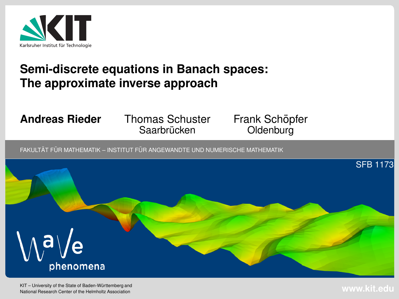

### **Semi-discrete equations in Banach spaces:The approximate inverse approach**

#### **Andreas Rieder**

 Thomas Schuster Saarbrücken

Frank Schöpfer **Oldenburg** 

 $\tt{FAKULTÄT}$  FÜR MATHEMATIK – INSTITUT FÜR ANGEWANDTE UND NUMERISCHE MATHEMATIK

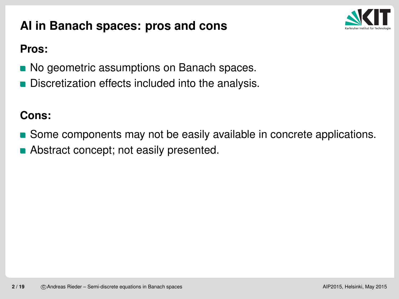# **AI in Banach spaces: pros and cons**



#### **Pros:**

- No geometric assumptions on Banach spaces.
- Discretization effects included into the analysis.

### **Cons:**

- **Some components may not be easily available in concrete applications.**
- **Abstract concept; not easily presented.**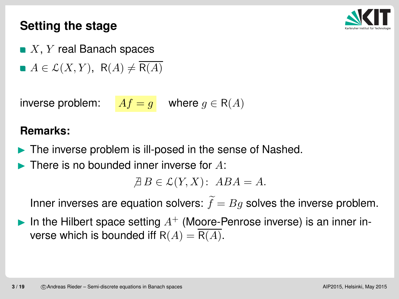## **Setting the stage**



- $X,\,Y$  real Banach spaces
- $A \in \mathcal{L}(X, Y)$ , R(A)  $\neq$  R(A)

inverse problem:  $\begin{array}{ll} \hbox{$\vert$} A f = g \hbox{ } \end{array}$  where  $g \in \mathsf{R}(A)$ 

#### **Remarks:**

- $\blacktriangleright$ The inverse problem is ill-posed in the sense of Nashed.
- $\blacktriangleright$ There is no bounded inner inverse for <sup>A</sup>:

 $\overline{A} B \in \mathcal{L}(Y, X)$ :  $A B A = A$ .

Inner inverses are equation solvers:  $\widetilde{f}$  $= Bg$  solves the inverse problem.

 $\blacktriangleright$ In the Hilbert space setting  $A^+$  (Moore-Penrose inverse) is an inner inverse which is bounded iff  $R(A) = R(A)$ .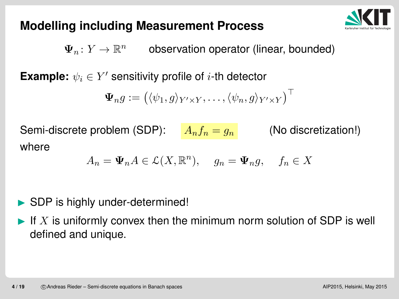# **Modelling including Measurement Process**



 $\boldsymbol{\Psi}_n$  $\pi\colon Y\to \mathbb{R}^n$  observation operator (linear, bounded)

**Example:**  $\psi_i \in Y'$  sensitivity profile of  $i$ -th detector

$$
\mathbf{\Psi}_n g := \big( \langle \psi_1, g \rangle_{Y' \times Y}, \dots, \langle \psi_n, g \rangle_{Y' \times Y} \big)^\top
$$

Semi-discrete problem (SDP):  $\quad A_n f_n = g_n$  (No discretization!) where

$$
A_n = \Psi_n A \in \mathcal{L}(X, \mathbb{R}^n), \quad g_n = \Psi_n g, \quad f_n \in X
$$

#### $\blacktriangleright$ SDP is highly under-determined!

 $\blacktriangleright$ If  $X$  is uniformly convex then the minimum norm solution of SDP is well defined and unique.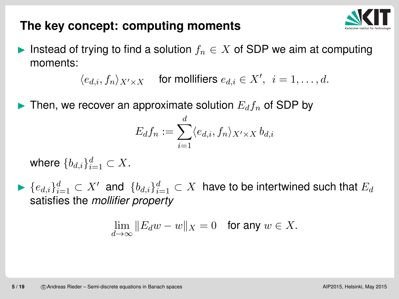

### **The key concept: computing moments**

► Instead of trying to find a solution  $f_n \in X$  of SDP we aim at computing momento: moments:

> $\langle e_{d,i}, f_n \rangle_{X' \times X}$  $X$  for mollifiers  $e_{d,i} \in X', i = 1, \ldots, d.$

 $\blacktriangleright$ Then, we recover an approximate solution  $E_d f_n$  of SDP by

$$
E_d f_n := \sum_{i=1}^d \langle e_{d,i}, f_n \rangle_{X' \times X} b_{d,i}
$$

where  $\{b_{d,i}\}_{i:}^d$  $_{i=1}^a\subset X$  .

 $\blacktriangleright \{e_{d,i}\}_{i=1}^d$  satisfies the *mollifier property*  $\frac{d}{i=1}\subset X'$  and  $\{b_{d,i}\}_{i=1}^d$  $\frac{d}{d} _{i=1}^{d} \subset X$  have to be intertwined such that  $E_{d}$ 

$$
\lim_{d \to \infty} \|E_d w - w\|_X = 0 \quad \text{for any } w \in X.
$$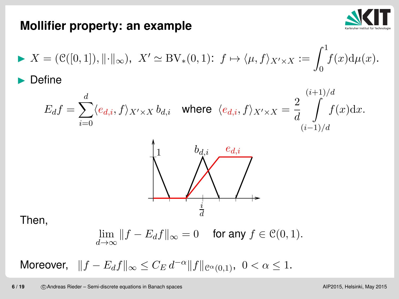

### **Mollifier property: an example**

$$
X = (\mathcal{C}([0,1]), \|\cdot\|_{\infty}), \quad X' \simeq \text{BV}_*(0,1): \ f \mapsto \langle \mu, f \rangle_{X' \times X} := \int_0^1 f(x) d\mu(x).
$$
  
Define

$$
E_{d}f = \sum_{i=0}^{d} \langle e_{d,i}, f \rangle_{X' \times X} b_{d,i} \quad \text{where} \quad \langle e_{d,i}, f \rangle_{X' \times X} = \frac{2}{d} \int_{(i-1)/d}^{(i+1)/d} f(x) \, dx.
$$



Then,

$$
\lim_{d\to\infty}||f - E_d f||_{\infty} = 0 \quad \text{ for any } f \in \mathcal{C}(0,1).
$$

Moreover,  $\parallel\!f$  $-\mathit{E}_{d}f\Vert _{\infty}\leq C_{E}\,d^{-}$  $\alpha$  $\alpha\|f\|_{\mathcal{C}^\alpha(0,1)},\ \ 0<\alpha\leq 1.$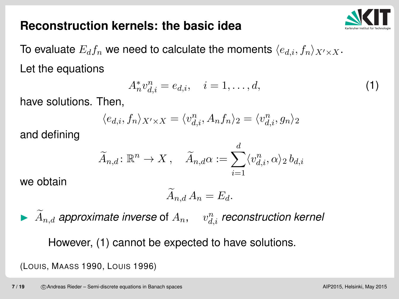### **Reconstruction kernels: the basic idea**



To evaluate  $E_d f_n$  we need to calculate the moments  $\langle e_{d,i}, f_n \rangle_{X' \times X}.$ Let the equations

$$
A_n^* v_{d,i}^n = e_{d,i}, \quad i = 1, \dots, d,
$$
 (1)

have solutions. Then,

$$
\langle e_{d,i},f_n\rangle_{X'\times X}=\langle v_{d,i}^n,A_nf_n\rangle_2=\langle v_{d,i}^n,g_n\rangle_2
$$

and defining

$$
\widetilde{A}_{n,d} \colon \mathbb{R}^n \to X \,, \quad \widetilde{A}_{n,d} \alpha := \sum_{i=1}^d \langle v_{d,i}^n, \alpha \rangle_2 \, b_{d,i}
$$

we obtain

$$
\widetilde{A}_{n,d}\,A_n=E_d.
$$

 $\blacktriangleright$   $\widetilde{A}_{n,d}$  approximate inverse of  $A_n, \quad v_d^n$  $\frac{n}{d,i}$  reconstruction kernel

However, (1) cannot be expected to have solutions.

(LOUIS, MAASS 1990, <sup>L</sup>OUIS 1996)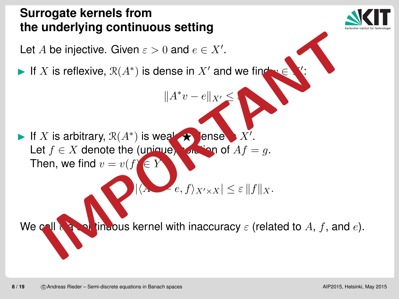# **Surrogate kernels fromthe underlying continuous setting**



 $\blacktriangleright$ If X is reflexive,  $\mathcal{R}(A^*)$  $^\ast)$  is dense in  $X'$  and we find

$$
||A^*v - e||_{X'} \le \epsilon
$$

v∈ **Y** ′:

If X is arbitrary,  $\mathcal{R}(A^*)$ Let  $f \in X$  denote the (unique) solution of  $Af$  $^{\ast})$  is weak-⋆dense  $X^{\prime}$ Then, we find  $v=v(f)$  $= g$  .  $\in Y$ A be injective. Given  $\varepsilon > 0$  and  $e \in X'$ .<br>
X is reflexive,  $\mathcal{R}(A^*)$  is dense in X' and we find<br>  $||A^*v - e||_{X'} \le$ <br>
X is arbitrary,  $\mathcal{R}(A^*)$  is weally ensee X'.<br>
X is arbitrary,  $\mathcal{R}(A^*)$  is weally ensee X'.<br>
A the

 $|\langle$ A ∗− $-e, f \rangle_{X' \times}$  $|X| \leq \varepsilon \|f\|_X.$ 

 $We<sub>c</sub>$  $\boldsymbol{\vartheta}$  $i$  continuous kernel with inaccuracy  $\varepsilon$  (related to  $A,$   $f,$  and  $e$ ).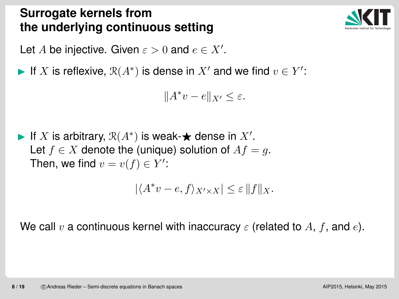# **Surrogate kernels fromthe underlying continuous setting**



Let  $A$  be injective. Given  $\varepsilon > 0$  and  $e \in X'.$ 

 $\blacktriangleright$ If X is reflexive,  $\mathcal{R}(A^*)$  is dense in  $X'$  and we find  $v \in Y'$ :

$$
||A^*v - e||_{X'} \le \varepsilon.
$$

► If X is arbitrary,  $\mathcal{R}(A^*)$  is weak- $\bigstar$  dense in  $X'$ .<br>Let  $f \subset Y$  denote the (unique) solution of  $Af =$ Let  $f\in X$  denote the (unique) solution of  $Af=g.$ Then, we find  $v=v(f)\in Y'$ :

$$
|\langle A^*v - e, f \rangle_{X' \times X}| \le \varepsilon ||f||_X.
$$

We call  $v$  a continuous kernel with inaccuracy  $\varepsilon$  (related to  $A, \, f,$  and  $e$ ).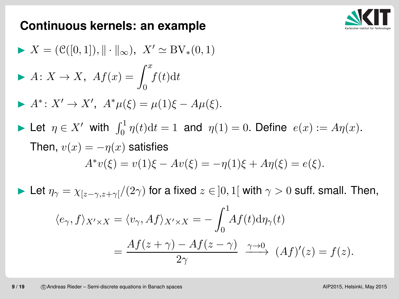

### **Continuous kernels: an example**

\n- ▶ 
$$
X = (\mathcal{C}([0,1]), \|\cdot\|_{\infty}), \ X' \cong \text{BV}_*(0,1)
$$
\n- ▶  $A: X \to X, \ Af(x) = \int_0^x f(t) \, dt$
\n- ▶  $A^*: X' \to X', \ A^* \mu(\xi) = \mu(1)\xi - A\mu(\xi).$
\n- ▶ Let  $\eta \in X'$  with  $\int_0^1 \eta(t) \, dt = 1$  and  $\eta(1) = 0$ . Define  $e(x) := A\eta(x)$ .
\n- Then,  $v(x) = -\eta(x)$  satisfies\n 
$$
A^* v(\xi) = v(1)\xi - Av(\xi) = -\eta(1)\xi + A\eta(\xi) = e(\xi).
$$
\n- ▶ Let  $\eta_\gamma = \chi_{[z-\gamma,z+\gamma]}/(2\gamma)$  for a fixed  $z \in ]0,1[$  with  $\gamma > 0$  suffix. Small. Then,  $\langle e_\gamma, f \rangle_{X' \times X} = \langle v_\gamma, Af \rangle_{X' \times X} = -\int_0^1 Af(t) \, d\eta_\gamma(t)$ \n
$$
= \frac{Af(z+\gamma) - Af(z-\gamma)}{2\gamma} \xrightarrow{\gamma \to 0} (Af)'(z) = f(z).
$$
\n

 $2\gamma$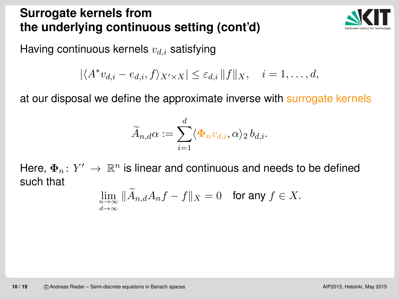# **Surrogate kernels fromthe underlying continuous setting (cont'd)**



Having continuous kernels  $v_{d,i}$  satisfying

$$
|\langle A^* v_{d,i} - e_{d,i}, f \rangle_{X' \times X}| \leq \varepsilon_{d,i} ||f||_X, \quad i = 1, \ldots, d,
$$

at our disposal we define the approximate inverse with surrogate kernels

$$
\widetilde{A}_{n,d}\alpha:=\sum_{i=1}^d\langle\mathbf{\Phi}_n v_{d,i},\alpha\rangle_2\,b_{d,i}.
$$

Here,  $\mathbf{\Phi}_n\colon Y'\,\rightarrow\,\mathbb{R}^n$  is linear and continuous and needs to be defined<br>such that such that

$$
\lim_{\substack{n \to \infty \\ d \to \infty}} \|\widetilde{A}_{n,d} A_n f - f\|_X = 0 \quad \text{for any } f \in X.
$$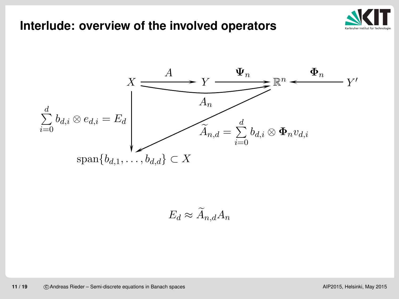#### **Interlude: overview of the involved operators**





 $E_d\approx \widetilde{A}_{n,d}A_n$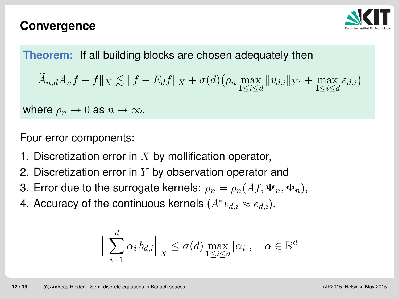### **Convergence**



### **Theorem:** If all building blocks are chosen adequately then

$$
\|\widetilde{A}_{n,d}A_nf - f\|_X \lesssim \|f - E_d f\|_X + \sigma(d) \left(\rho_n \max_{1 \le i \le d} \|v_{d,i}\|_{Y'} + \max_{1 \le i \le d} \varepsilon_{d,i}\right)
$$

where  $\rho_n \to 0$  as  $n \to \infty$ .

Four error components:

- 1. Discretization error in  $X$  by mollification operator,  $\bullet$
- 2. Discretization error in  $Y$  by observation operator and
- 3. Error due to the surrogate kernels:  $\rho_n = \rho_n(Af, \Psi_n, \Phi_n),$
- 4. Accuracy of the continuous kernels  $(A^*v_{d,i}\approx e_{d,i}).$

$$
\Big\|\sum_{i=1}^d \alpha_i b_{d,i}\Big\|_X \le \sigma(d) \max_{1 \le i \le d} |\alpha_i|, \quad \alpha \in \mathbb{R}^d
$$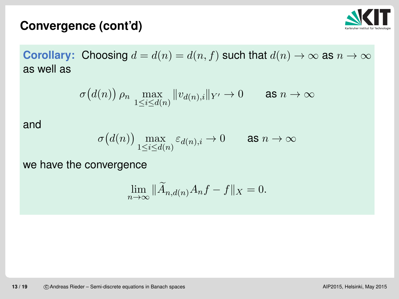### **Convergence (cont'd)**



**Corollary:** Choosing  $d = d(n) = d(n, f)$  such that  $d(n) \to \infty$  as  $n \to \infty$ <br>as well as as well as

$$
\sigma\big(d(n)\big)\,\rho_n \, \max_{1 \le i \le d(n)} \|v_{d(n),i}\|_{Y'} \to 0 \qquad \text{as } n \to \infty
$$

and

$$
\sigma\big(d(n)\big) \max_{1 \le i \le d(n)} \varepsilon_{d(n),i} \to 0 \qquad \text{as } n \to \infty
$$

we have the convergence

$$
\lim_{n \to \infty} \|\widetilde{A}_{n,d(n)}A_nf - f\|_X = 0.
$$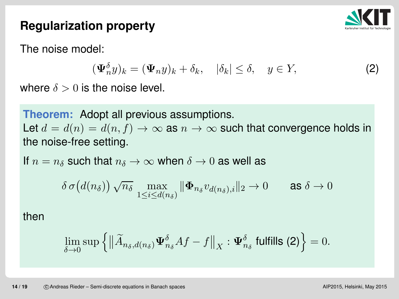

## **Regularization property**

The noise model:

$$
(\Psi_n^{\delta} y)_k = (\Psi_n y)_k + \delta_k, \quad |\delta_k| \le \delta, \quad y \in Y,
$$
 (2)

where  $\delta > 0$  is the noise level.

**Theorem:** Adopt all previous assumptions. Let  $d=d(n)=d(n,f)\to\infty$  as  $n\to\infty$  such that convergence holds in<br>the noise-free setting the noise-free setting.

If  $n = n_{\delta}$  such that  $n_{\delta} \rightarrow \infty$  when  $\delta \rightarrow 0$  as well as

$$
\delta\,\sigma\big(d(n_\delta)\big)\,\sqrt{n_\delta}\,\max_{1\le i\le d(n_\delta)}\|\mathbf{\Phi}_{n_\delta}v_{d(n_\delta),i}\|_2\to 0\qquad\text{as }\delta\to 0
$$

then

$$
\lim_{\delta \to 0} \sup \left\{ \left\| \widetilde{A}_{n_{\delta},d(n_{\delta})} \Psi_{n_{\delta}}^{\delta} A f - f \right\|_{X} : \Psi_{n_{\delta}}^{\delta} \text{ fulfills (2)} \right\} = 0.
$$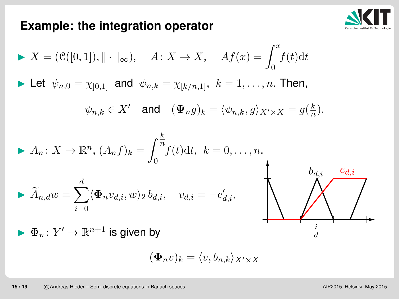### **Example: the integration operator**



$$
X = (\mathcal{C}([0,1]), \|\cdot\|_{\infty}), \quad A \colon X \to X, \quad Af(x) = \int_0^x f(t)dt
$$
  
\nLet  $\psi_{n,0} = \chi_{[0,1]}$  and  $\psi_{n,k} = \chi_{[k/n,1]}, \ k = 1, ..., n$ . Then,  
\n $\psi_{n,k} \in X'$  and  $(\Psi_n g)_k = \langle \psi_{n,k}, g \rangle_{X' \times X} = g(\frac{k}{n}).$   
\n
$$
A_n \colon X \to \mathbb{R}^n, (A_n f)_k = \int_0^{\frac{k}{n}} f(t) dt, \ k = 0, ..., n.
$$
  
\n
$$
\tilde{A}_{n,d} w = \sum_{i=0}^d \langle \Phi_n v_{d,i}, w \rangle_2 b_{d,i}, \quad v_{d,i} = -e'_{d,i},
$$
  
\n
$$
\Phi_n \colon Y' \to \mathbb{R}^{n+1}
$$
 is given by

$$
(\boldsymbol{\Phi}_{n}v)_{k}=\langle v,b_{n,k}\rangle_{X'\times X}
$$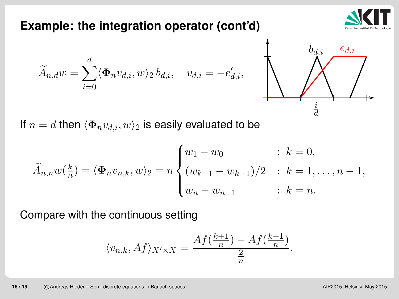#### If  $n=d$  then  $\langle \mathbf{\Phi}_{n} v_{d,i}, w \rangle_{2}$  $_{\rm 2}$  is easily evaluated to be

$$
\widetilde{A}_{n,n}w(\frac{k}{n}) = \langle \Phi_n v_{n,k}, w \rangle_2 = n \begin{cases} w_1 - w_0 & \text{if } k = 0, \\ (w_{k+1} - w_{k-1})/2 & \text{if } k = 1, \dots, n-1, \\ w_n - w_{n-1} & \text{if } k = n. \end{cases}
$$

Compare with the continuous setting

$$
\langle v_{n,k}, Af \rangle_{X' \times X} = \frac{Af(\frac{k+1}{n}) - Af(\frac{k-1}{n})}{\frac{2}{n}}.
$$



**Example: the integration operator (cont'd)**

$$
\widetilde{A}_{n,d}w = \sum_{i=0}^d \langle \mathbf{\Phi}_n v_{d,i}, w \rangle_2 b_{d,i}, \quad v_{d,i} = -e'_{d,i},
$$

$$
\left|\bigvee_{\stackrel{i}{\stackrel{i}{d}}} \bigwedge_{\stackrel{i}{\stackrel{i}{d}}} \bigwedge_{\stackrel{j}{\longleftarrow}}
$$

⅄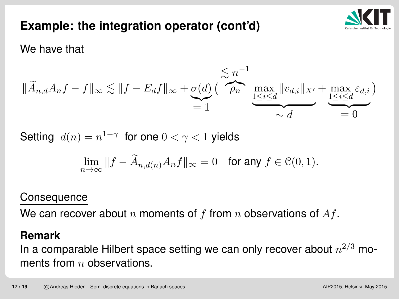

# **Example: the integration operator (cont'd)**

We have that

$$
\|\widetilde{A}_{n,d}A_nf - f\|_{\infty} \lesssim \|f - E_d f\|_{\infty} + \underbrace{\sigma(d)}_{=1} \left( \overbrace{\rho_n}^{n-1} \max_{\substack{1 \leq i \leq d \\ 1 \leq i \leq d}} \|v_{d,i}\|_{X'} + \max_{\substack{1 \leq i \leq d \\ 1 \leq i \leq d}} \varepsilon_{d,i} \right)
$$

Setting  $d(n) = n$ 1 $^{-\gamma}~$  for one  $0<\gamma< 1$  yields

$$
\lim_{n \to \infty} ||f - \widetilde{A}_{n,d(n)} A_n f||_{\infty} = 0 \quad \text{for any } f \in \mathcal{C}(0,1).
$$

#### **Consequence**

We can recover about  $n$  moments of  $f$  from  $n$  observations of  $Af.$ 

#### **Remark**

In a comparable Hilbert space setting we can only recover about  $n$ 2 $\frac{2}{ }$  $^3$  moments from  $n$  observations.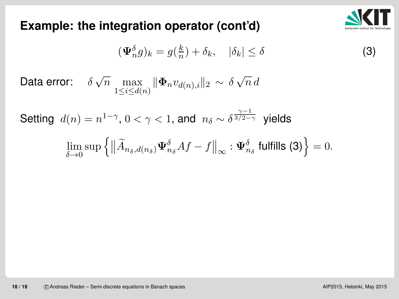

### **Example: the integration operator (cont'd)**

$$
(\Psi_n^{\delta} g)_k = g(\frac{k}{n}) + \delta_k, \quad |\delta_k| \le \delta \tag{3}
$$

Data error:  $-\delta$  $\delta\,\sqrt{n}\,\max_{1\leq i\leq d(n)}$  $\parallel$  $\boldsymbol{\Phi}_{n}$  $v\,$  $v_{d(n),i}\Vert$ 2∼ $\delta$  $\delta \sqrt{n} d$ 

Setting  $d(n) = n$ 1 $^{-\gamma},\, 0<\gamma< 1,$  and  $n_{\delta}\sim\delta$  $\frac{\gamma}{\prime}$ 13/2- $\frac{3}{ }$ 2 $\overline{-\gamma}$  yields

$$
\lim_{\delta \to 0} \sup \left\{ \left\| \widetilde{A}_{n_{\delta},d(n_{\delta})} \Psi_{n_{\delta}}^{\delta} A f - f \right\|_{\infty} : \Psi_{n_{\delta}}^{\delta} \text{ fulfills (3)} \right\} = 0.
$$